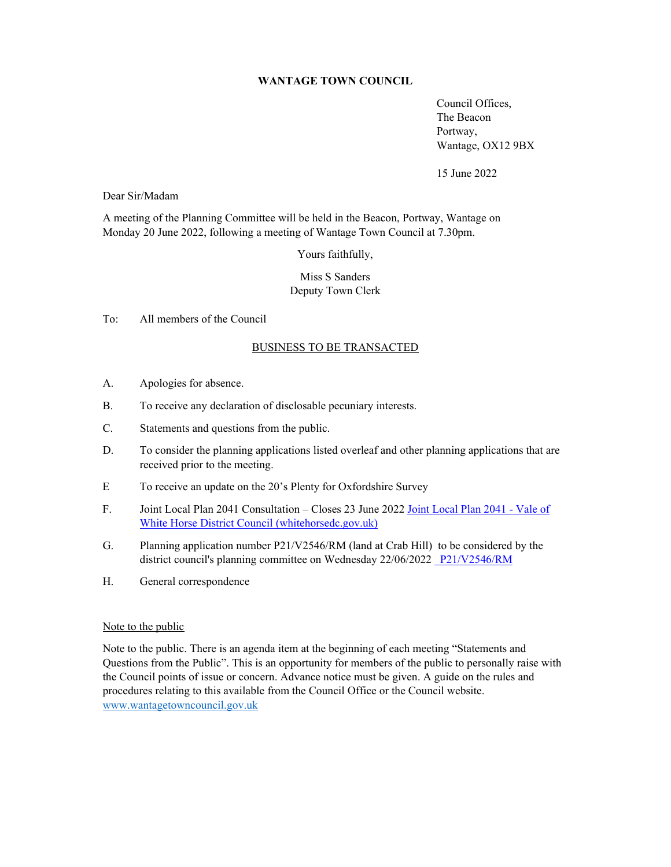## **WANTAGE TOWN COUNCIL**

 Council Offices, The Beacon Portway, Wantage, OX12 9BX

15 June 2022

Dear Sir/Madam

A meeting of the Planning Committee will be held in the Beacon, Portway, Wantage on Monday 20 June 2022, following a meeting of Wantage Town Council at 7.30pm.

Yours faithfully,

# Miss S Sanders Deputy Town Clerk

# To: All members of the Council

### BUSINESS TO BE TRANSACTED

- A. Apologies for absence.
- B. To receive any declaration of disclosable pecuniary interests.
- C. Statements and questions from the public.
- D. To consider the planning applications listed overleaf and other planning applications that are received prior to the meeting.
- E To receive an update on the 20's Plenty for Oxfordshire Survey
- F. Joint Local Plan 2041 Consultation Closes 23 June 2022 Joint Local Plan 2041 Vale of White Horse District Council (whitehorsedc.gov.uk)
- G. Planning application number P21/V2546/RM (land at Crab Hill) to be considered by the district council's planning committee on Wednesday 22/06/2022 P21/V2546/RM
- H. General correspondence

#### Note to the public

Note to the public. There is an agenda item at the beginning of each meeting "Statements and Questions from the Public". This is an opportunity for members of the public to personally raise with the Council points of issue or concern. Advance notice must be given. A guide on the rules and procedures relating to this available from the Council Office or the Council website. www.wantagetowncouncil.gov.uk